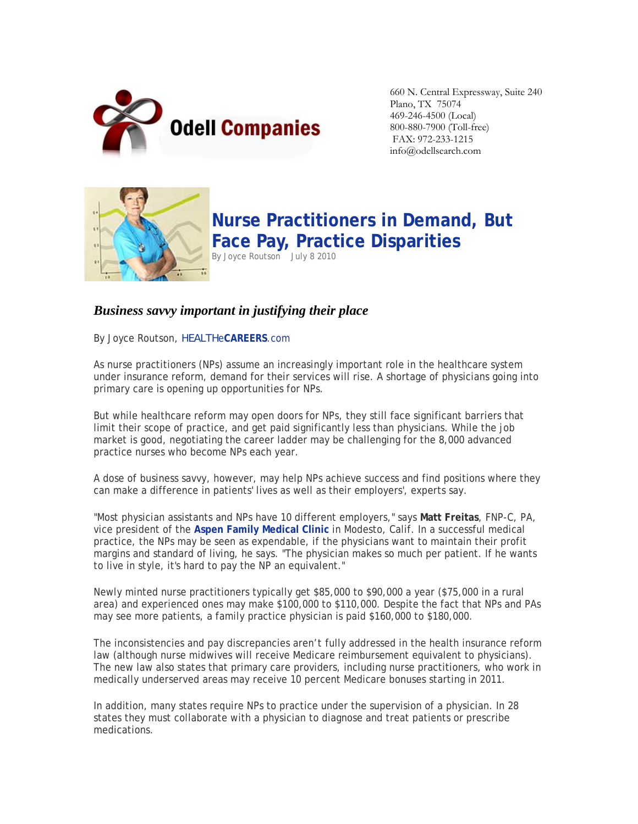

660 N. Central Expressway, Suite 240 Plano, TX 75074 469-246-4500 (Local) 800-880-7900 (Toll-free) FAX: 972-233-1215 info@odellsearch.com



**Nurse Practitioners in Demand, But Face Pay, Practice Disparities** By Joyce Routson July 8 2010

## *Business savvy important in justifying their place*

By Joyce Routson, *HEALTH*e**CAREERS**.com

As nurse practitioners (NPs) assume an increasingly important role in the healthcare system under insurance reform, demand for their services will rise. A shortage of physicians going into primary care is opening up opportunities for NPs.

But while healthcare reform may open doors for NPs, they still face significant barriers that limit their scope of practice, and get paid significantly less than physicians. While the job market is good, negotiating the career ladder may be challenging for the 8,000 advanced practice nurses who become NPs each year.

A dose of business savvy, however, may help NPs achieve success and find positions where they can make a difference in patients' lives as well as their employers', experts say.

"Most physician assistants and NPs have 10 different employers," says **Matt Freitas**, FNP-C, PA, vice president of the **Aspen Family Medical Clinic** in Modesto, Calif. In a successful medical practice, the NPs may be seen as expendable, if the physicians want to maintain their profit margins and standard of living, he says. "The physician makes so much per patient. If he wants to live in style, it's hard to pay the NP an equivalent."

Newly minted nurse practitioners typically get \$85,000 to \$90,000 a year (\$75,000 in a rural area) and experienced ones may make \$100,000 to \$110,000. Despite the fact that NPs and PAs may see more patients, a family practice physician is paid \$160,000 to \$180,000.

The inconsistencies and pay discrepancies aren't fully addressed in the health insurance reform law (although nurse midwives will receive Medicare reimbursement equivalent to physicians). The new law also states that primary care providers, including nurse practitioners, who work in medically underserved areas may receive 10 percent Medicare bonuses starting in 2011.

In addition, many states require NPs to practice under the supervision of a physician. In 28 states they must collaborate with a physician to diagnose and treat patients or prescribe medications.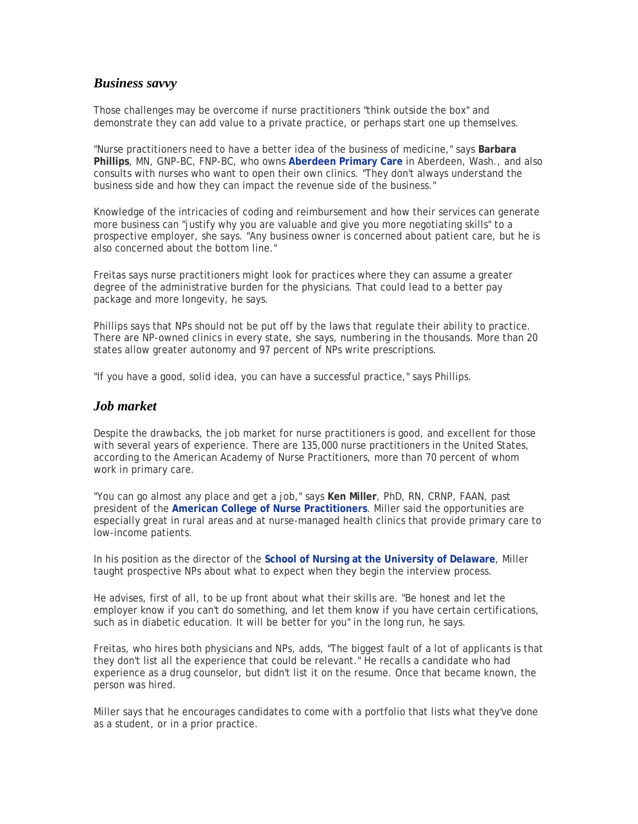## *Business savvy*

Those challenges may be overcome if nurse practitioners "think outside the box" and demonstrate they can add value to a private practice, or perhaps start one up themselves.

"Nurse practitioners need to have a better idea of the business of medicine," says **Barbara Phillips**, MN, GNP-BC, FNP-BC, who owns **Aberdeen Primary Care** in Aberdeen, Wash., and also consults with nurses who want to open their own clinics. "They don't always understand the business side and how they can impact the revenue side of the business."

Knowledge of the intricacies of coding and reimbursement and how their services can generate more business can "justify why you are valuable and give you more negotiating skills" to a prospective employer, she says. "Any business owner is concerned about patient care, but he is also concerned about the bottom line."

Freitas says nurse practitioners might look for practices where they can assume a greater degree of the administrative burden for the physicians. That could lead to a better pay package and more longevity, he says.

Phillips says that NPs should not be put off by the laws that regulate their ability to practice. There are NP-owned clinics in every state, she says, numbering in the thousands. More than 20 states allow greater autonomy and 97 percent of NPs write prescriptions.

"If you have a good, solid idea, you can have a successful practice," says Phillips.

## *Job market*

Despite the drawbacks, the job market for nurse practitioners is good, and excellent for those with several years of experience. There are 135,000 nurse practitioners in the United States, according to the American Academy of Nurse Practitioners, more than 70 percent of whom work in primary care.

"You can go almost any place and get a job," says **Ken Miller**, PhD, RN, CRNP, FAAN, past president of the **American College of Nurse Practitioners**. Miller said the opportunities are especially great in rural areas and at nurse-managed health clinics that provide primary care to low-income patients.

In his position as the director of the **School of Nursing at the University of Delaware**, Miller taught prospective NPs about what to expect when they begin the interview process.

He advises, first of all, to be up front about what their skills are. "Be honest and let the employer know if you can't do something, and let them know if you have certain certifications, such as in diabetic education. It will be better for you" in the long run, he says.

Freitas, who hires both physicians and NPs, adds, "The biggest fault of a lot of applicants is that they don't list all the experience that could be relevant." He recalls a candidate who had experience as a drug counselor, but didn't list it on the resume. Once that became known, the person was hired.

Miller says that he encourages candidates to come with a portfolio that lists what they've done as a student, or in a prior practice.